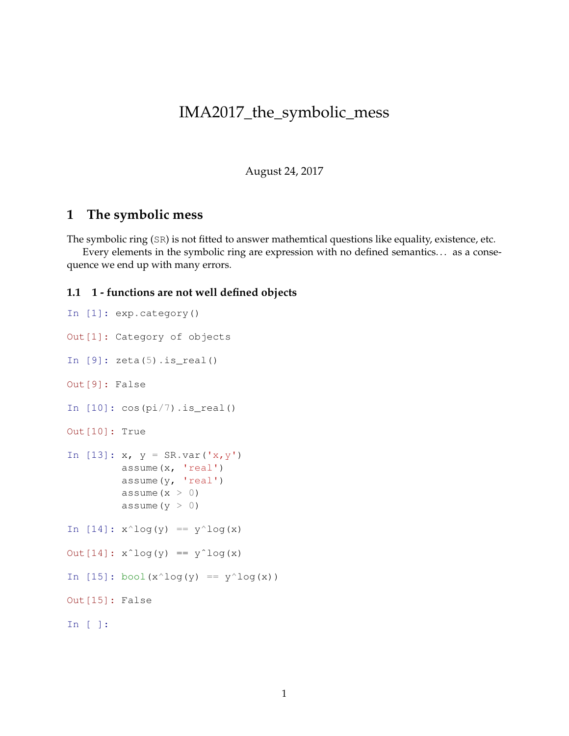## IMA2017\_the\_symbolic\_mess

August 24, 2017

## **1 The symbolic mess**

The symbolic ring (SR) is not fitted to answer mathemtical questions like equality, existence, etc.

Every elements in the symbolic ring are expression with no defined semantics... as a consequence we end up with many errors.

## **1.1 1 - functions are not well defined objects**

```
In [1]: exp.category()
Out[1]: Category of objects
In [9]: zeta(5). is_real()
Out[9]: False
In [10]: cos(pi/7). is_real()
Out[10]: True
In [13]: x, y = SR.var('x, y')assume(x, 'real')
          assume(y, 'real')
          assume(x > 0)assume(y > 0)In [14]: x^{\wedge}log(y) == y^{\wedge}log(x)
Out[14]: x^{\text{log}}(y) == y^{\text{log}}(x)In [15]: bool(x^log(y) == y^log(x))
Out[15]: False
In [ ]:
```